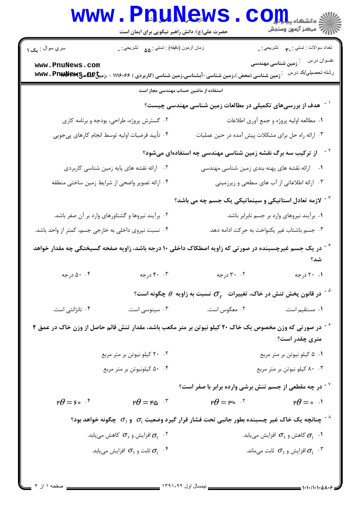|                                                      | <b>www.PnuNews</b><br>حضرت علی(ع): دانش راهبر نیکویی برای ایمان است |                                                                                                                              | الله دانشکاه پیام <del>بر</del><br>الله عرکز آزمهن وسنجش                      |  |  |  |
|------------------------------------------------------|---------------------------------------------------------------------|------------------------------------------------------------------------------------------------------------------------------|-------------------------------------------------------------------------------|--|--|--|
| سري سوال : يک ۱                                      | زمان أزمون (دقيقه) : تستى : ۵۵٪ نشريحى : .                          |                                                                                                                              | تعداد سوالات : تستي : ٣ <sub>٠</sub> تشريحي : .                               |  |  |  |
| www.PnuNews.com                                      |                                                                     | ً زمین شناسی (محض )،زمین شناسی-آبشناسی،زمین شناسی (کاربردی ) ۱۱۱۶۰۶۶ - ،زمیخ모모ه&wwv . Pnpp و                                 | عنــوان درس<br><sup>:</sup> زمین شناسی مهندسی<br>رشته تحصب <u>لي</u> /کد در س |  |  |  |
| استفاده از ماشین حساب مهندسی مجاز است                |                                                                     |                                                                                                                              |                                                                               |  |  |  |
|                                                      |                                                                     | ً <sup>-</sup> هدف از بررسیهای تکمیلی در مطالعات زمین شناسی مهندسی چیست؟                                                     |                                                                               |  |  |  |
|                                                      | ۰۲ گسترش پروژه، طراحی، بودجه و برنامه کاری                          |                                                                                                                              | ٠١ مطالعه اوليه پروژه و جمع آوري اطلاعات                                      |  |  |  |
|                                                      | ۰۴ تأييد فرضيات اوليه توسط انجام كارهاي پيجويي                      | ۰۳ ارائه راه حل برای مشکلات پیش آمده در حین عملیات                                                                           |                                                                               |  |  |  |
|                                                      |                                                                     | <sup>۲ -</sup> از ترکیب سه برگ نقشه زمین شناسی مهندسی چه استفادهای میشود؟                                                    |                                                                               |  |  |  |
|                                                      | ۰۲ ارائه نقشه های پایه زمین شناسی کاربردی                           | ۰۱ ارائه نقشه های پهنه بندی زمین شناسی مهندسی                                                                                |                                                                               |  |  |  |
| ۰۴ ارائه تصوير واضحى از شرايط زمين ساختى منطقه       |                                                                     | ۰۳ ارائه اطلاعاتی از آب های سطحی و زیرزمینی                                                                                  |                                                                               |  |  |  |
|                                                      |                                                                     | <sup>۳ -</sup> لازمه تعادل استاتیکی و سینماتیکی یک جسم چه می باشد؟                                                           |                                                                               |  |  |  |
|                                                      | ۰۲ برآیند نیروها و گشتاورهای وارد بر آن صفر باشد.                   | ۰۱ برآیند نیروهای وارد بر جسم نابرابر باشد.                                                                                  |                                                                               |  |  |  |
| ۰۴ نسبت نیروی داخلی به خارجی جسم، کمتر از واحد باشد. |                                                                     | ۰۳ جسم باشتاب غیر یکنواخت به حرکت ادامه دهد.                                                                                 |                                                                               |  |  |  |
|                                                      |                                                                     | <sup>۰۴</sup> در یک جسم غیرچسبنده در صورتی که زاویه اصطکاک داخلی ۱۰ درجه باشد، زاویه صفحه گسیختگی چه مقدار خواهد             | شد؟                                                                           |  |  |  |
| ۰. ۵۰ درجه                                           | ۰. ۴۰ درجه                                                          | ۰۲ درجه                                                                                                                      | ۰۱ ۲۰ درجه                                                                    |  |  |  |
|                                                      |                                                                     | $^{\circ}$ در قانون پخش تنش در خاک، تغییرات $\, \sigma_{_{\mathcal F}} \,$ نسبت به زاویه $\, \theta \,$ چگونه است $^{\circ}$ |                                                                               |  |  |  |
| ۰۴ تانژانتی است.                                     | ۰۳ سینوسی است.                                                      | ۰۲ معکوس است.                                                                                                                | <b>۰۱</b> مستقیم است.                                                         |  |  |  |
|                                                      |                                                                     | <sup>۶ -</sup> در صورتی که وزن مخصوص یک خاک ۲۰ کیلو نیوتن بر متر مکعب باشد، مقدار تنش قائم حاصل از وزن خاک در عمق ۴          | متری چقدر است؟                                                                |  |  |  |
|                                                      | ۰۲ کیلو نیوتن بر متر مربع                                           |                                                                                                                              | ۰۱ ۵ کیلو نیوتن بر متر مربع                                                   |  |  |  |
| ۰۴ مکیلونیوتن بر متر مربع                            |                                                                     | ۰۳ ۸۰ کیلو نیوتن بر متر مربع                                                                                                 |                                                                               |  |  |  |
|                                                      |                                                                     | در چه مقطعی از جسم تنش برشی وارده برابر با صفر است؟ $^{\vee}$                                                                |                                                                               |  |  |  |
| $P\theta = \frac{6}{5}$                              | $P\theta = F\omega$ <sup><math>T</math></sup>                       | ۳ $\theta$ = ۳۰ $^{-17}$                                                                                                     | $P\theta = \circ^{-1}$                                                        |  |  |  |
|                                                      |                                                                     | ینانچه یک خاک غیر چسبنده بطور جانبی تحت فشار قرار گیرد وضعیت $\sigma_1$ و $\sigma_3$ چگونه خواهد بود $^{\wedge}$             |                                                                               |  |  |  |
|                                                      | افزایش و $\sigma_{_3}$ کاهش مییابد. $\sigma_{_1}$                   | کاهش و $\sigma_{_3}$ افزایش مییابد. $\sigma_{_1}$                                                                            |                                                                               |  |  |  |
|                                                      | ثابت و $\sigma_{_3}$ افزایش مییابد. $\sigma_{_1}$                   |                                                                                                                              | افزایش و $\sigma_3$ ثابت میماند. $\sigma_1$                                   |  |  |  |
|                                                      |                                                                     |                                                                                                                              |                                                                               |  |  |  |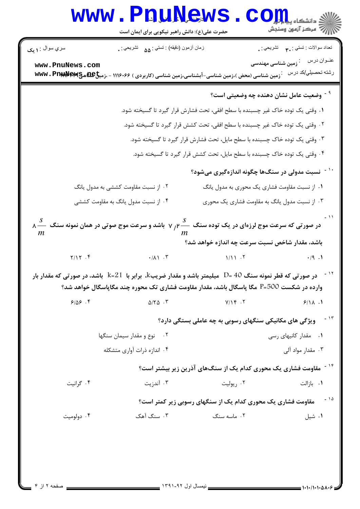| سري سوال : <b>۱ يک</b><br>www.PnuNews.com<br>ّ زمین شناسی (محض )،زمین شناسی-آبشناسی،زمین شناسی (کاربردی ) ۱۱۱۶۰۶۶ - ،زمیخ۱۹۴۵ و www . Pn<br>۰۲ از نسبت مقاومت کششی به مدول یانگ<br>۰۴ از نسبت مدول یانگ به مقاومت کششی<br>$\lambda \stackrel{S}{\longrightarrow} \lambda$ در صورتی که سرعت موج لرزهای در یک توده سنگ $\stackrel{S}{\longrightarrow}$ ۲ باشد و سرعت موج صوتی در همان نمونه سنگ $m$<br>$Y/Y$ . $f$<br>در صورتی که قطر نمونه سنگ 40 =D میلیمتر باشد و مقدار ضریبk، برابر با 21=k باشد، در صورتی که مقدار بار $^{\circ}$<br>وارده در شکست F=500 مگا پاسگال باشد، مقدار مقاومت فشاری تک محوره چند مگاپاسگال خواهد شد؟<br>9/09.9<br>۰۲ نوع و مقدار سیمان سنگها<br>۰۴ اندازه ذرات آواری متشکله<br>۰۴ گرانیت | حضرت علی(ع): دانش راهبر نیکویی برای ایمان است<br>زمان أزمون (دقيقه) : تستى : ۵۵٪ تشريحي : . |                                                                                | الاد دانشڪاه پيا <mark>ہوار</mark><br>اللہ مرکز آزمون وسنجش |
|----------------------------------------------------------------------------------------------------------------------------------------------------------------------------------------------------------------------------------------------------------------------------------------------------------------------------------------------------------------------------------------------------------------------------------------------------------------------------------------------------------------------------------------------------------------------------------------------------------------------------------------------------------------------------------------------------------------------|---------------------------------------------------------------------------------------------|--------------------------------------------------------------------------------|-------------------------------------------------------------|
|                                                                                                                                                                                                                                                                                                                                                                                                                                                                                                                                                                                                                                                                                                                      |                                                                                             |                                                                                |                                                             |
|                                                                                                                                                                                                                                                                                                                                                                                                                                                                                                                                                                                                                                                                                                                      |                                                                                             |                                                                                | نعداد سوالات : تستبي : پم       تشريحي : .                  |
|                                                                                                                                                                                                                                                                                                                                                                                                                                                                                                                                                                                                                                                                                                                      |                                                                                             | زمین شناسی مهندسی                                                              | عنــوان درس<br>رشته تحصيلي/كد درس                           |
|                                                                                                                                                                                                                                                                                                                                                                                                                                                                                                                                                                                                                                                                                                                      |                                                                                             | <sup>۹ -</sup> وضعیت عامل نشان دهنده چه وضعیتی است؟                            |                                                             |
|                                                                                                                                                                                                                                                                                                                                                                                                                                                                                                                                                                                                                                                                                                                      |                                                                                             | ۰۱ وقتی یک توده خاک غیر چسبنده با سطح افقی، تحت فشارش قرار گیرد تا گسیخته شود. |                                                             |
|                                                                                                                                                                                                                                                                                                                                                                                                                                                                                                                                                                                                                                                                                                                      |                                                                                             | ۰۲ وقتی یک توده خاک غیر چسبنده با سطح افقی، تحت کشش قرار گیرد تا گسیخته شود.   |                                                             |
|                                                                                                                                                                                                                                                                                                                                                                                                                                                                                                                                                                                                                                                                                                                      |                                                                                             | ۰۳ وقتی یک توده خاک چسبنده با سطح مایل، تحت فشارش قرار گیرد تا گسیخته شود.     |                                                             |
|                                                                                                                                                                                                                                                                                                                                                                                                                                                                                                                                                                                                                                                                                                                      |                                                                                             | ۰۴ وقتی یک توده خاک چسبنده با سطح مایل، تحت کشش قرار گیرد تا گسیخته شود.       |                                                             |
|                                                                                                                                                                                                                                                                                                                                                                                                                                                                                                                                                                                                                                                                                                                      |                                                                                             | <sup>۱ -</sup> نسبت مدولی در سنگها چگونه اندازهگیری میشود؟                     |                                                             |
|                                                                                                                                                                                                                                                                                                                                                                                                                                                                                                                                                                                                                                                                                                                      |                                                                                             | ۰۱ از نسبت مقاومت فشاری یک محوری به مدول یانگ                                  |                                                             |
|                                                                                                                                                                                                                                                                                                                                                                                                                                                                                                                                                                                                                                                                                                                      |                                                                                             | ۰۳ از نسبت مدول یانگ به مقاومت فشاری یک محوری                                  |                                                             |
|                                                                                                                                                                                                                                                                                                                                                                                                                                                                                                                                                                                                                                                                                                                      |                                                                                             | باشد، مقدار شاخص نسبت سرعت چه اندازه خواهد شد؟                                 |                                                             |
|                                                                                                                                                                                                                                                                                                                                                                                                                                                                                                                                                                                                                                                                                                                      | $\cdot/\lambda$ $\cdot$ $\cdot$ $\cdot$                                                     | 1/11.7                                                                         | .49.1                                                       |
|                                                                                                                                                                                                                                                                                                                                                                                                                                                                                                                                                                                                                                                                                                                      |                                                                                             |                                                                                |                                                             |
|                                                                                                                                                                                                                                                                                                                                                                                                                                                                                                                                                                                                                                                                                                                      | $\Delta/\Upsilon\Delta$ .                                                                   | $Y/Y$ . $Y$                                                                    | 9/11.1                                                      |
|                                                                                                                                                                                                                                                                                                                                                                                                                                                                                                                                                                                                                                                                                                                      |                                                                                             | ویژگی های مکانیکی سنگهای رسوبی به چه عاملی بستگی دارد؟                         | $-15$                                                       |
|                                                                                                                                                                                                                                                                                                                                                                                                                                                                                                                                                                                                                                                                                                                      |                                                                                             |                                                                                | ۰۱ مقدار کانیهای رسی                                        |
|                                                                                                                                                                                                                                                                                                                                                                                                                                                                                                                                                                                                                                                                                                                      |                                                                                             |                                                                                | ۰۳ مقدار مواد آلي                                           |
|                                                                                                                                                                                                                                                                                                                                                                                                                                                                                                                                                                                                                                                                                                                      |                                                                                             | <sup>۱۴ -</sup> مقاومت فشاری یک محوری کدام یک از سنگهای آذرین زیر بیشتر است؟   |                                                             |
|                                                                                                                                                                                                                                                                                                                                                                                                                                                                                                                                                                                                                                                                                                                      | ۰۳ آندزیت                                                                                   | ۰۲ ريوليت                                                                      | ۰۱ بازالت                                                   |
|                                                                                                                                                                                                                                                                                                                                                                                                                                                                                                                                                                                                                                                                                                                      |                                                                                             | <b>مقاومت فشاری یک محوری کدام یک از سنگهای رسوبی زیر کمتر است</b> ؟            | $-10$                                                       |
| ۰۳ سنگ آهک<br>۰۴ دولوميت                                                                                                                                                                                                                                                                                                                                                                                                                                                                                                                                                                                                                                                                                             |                                                                                             | ۰۲ ماسه سنگ                                                                    | ۰۱ شیل                                                      |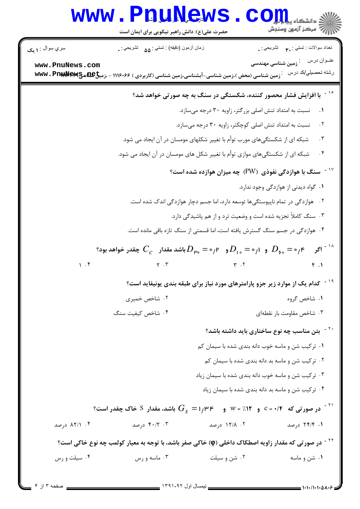|                 | www.PnuNews<br>حضرت علی(ع): دانش راهبر نیکویی برای ایمان است                                                                                                  |                                                                               | $\text{C}$ Om<br>ے<br>اللہ مرکز آزمون وسنجش                                                |
|-----------------|---------------------------------------------------------------------------------------------------------------------------------------------------------------|-------------------------------------------------------------------------------|--------------------------------------------------------------------------------------------|
| سري سوال : ١ يک | زمان أزمون (دقيقه) : تستى : ۵۵٪ تشريحي : .                                                                                                                    |                                                                               | تعداد سوالات : تستي : ٣ <sub>٠</sub> ٠     تشريحي : <sub>.</sub>                           |
| www.PnuNews.com | .<br>· زمین شناسی (محض )،زمین شناسی-آبشناسی،زمین شناسی (کاربردی ) ۱۱۱۶۰۶۶ - ،زمیخ۱۹۴۵ هـSww ، Pn:                                                             |                                                                               | عنــوان درس<br>.<br>زمین شناسی مهندسی<br>رشته تحصيلي/كد درس                                |
|                 |                                                                                                                                                               | با افزایش فشار محصور کننده، شکستگی در سنگ به چه صورتی خواهد شد؟               |                                                                                            |
|                 |                                                                                                                                                               | نسبت به امتداد تنش اصلی بزرگتر، زاویه ۳۰ درجه میسازد.                         | $\cdot$                                                                                    |
|                 |                                                                                                                                                               | نسبت به امتداد تنش اصلی کوچکتر، زاویه ۳۰ درجه میسازد.                         | ۲.                                                                                         |
|                 |                                                                                                                                                               | شبکه ای از شکستگیهای مورب توأم با تغییر شکلهای مومسان در آن ایجاد می شود.     | . $\mathsf{r}$                                                                             |
|                 |                                                                                                                                                               | شبکه ای از شکستگیهای موازی توأم با تغییر شکل های مومسان در آن ایجاد می شود.   | . $\mathfrak{f}$                                                                           |
|                 |                                                                                                                                                               | سنگ با هوازدگی نفوذی (PW) چه میزان هوازده شده است؟                            |                                                                                            |
|                 |                                                                                                                                                               |                                                                               | ۰۱ گواه دیدنی از هوازدگی وجود ندارد.                                                       |
|                 |                                                                                                                                                               | ۰۲ هوازدگی در تمام ناپیوستگیها توسعه دارد، اما جسم دچار هوازدگی اندک شده است. |                                                                                            |
|                 |                                                                                                                                                               | ۰۳ سنگ کاملاً تجزیه شده است و وضعیت ترد و از هم پاشیدگی دارد.                 |                                                                                            |
|                 |                                                                                                                                                               | ۰۴ هوازدگی در جسم سنگ گسترش یافته است، اما قسمتی از سنگ تازه باقی مانده است.  |                                                                                            |
|                 | و $D_{\rm p_o} = \circ P_{\rm p_o} = \circ P_{\rm p_o} = \circ P_{\rm p_o} = \circ P_{\rm p}$ باشد مقدار $C_c$ چقدر خواهد بود $D_{\rm p_o} = \circ P_{\rm p}$ |                                                                               | <sup>۱۸ -</sup> اگر                                                                        |
| 1.9             | $\gamma$ . $\gamma$                                                                                                                                           | $\mathbf{r}$ . $\mathbf{r}$                                                   | f.1                                                                                        |
|                 |                                                                                                                                                               |                                                                               | <sup>۱۹ -</sup> کدام یک از موارد زیر جزو پارامترهای مورد نیاز برای طبقه بندی یونیفاید است؟ |
|                 | ۰۲ شاخص خمیری                                                                                                                                                 |                                                                               | ۰۱ شاخص گروه                                                                               |
|                 | ۰۴ شاخص کیفیت سنگ                                                                                                                                             |                                                                               | ۰۳ شاخص مقاومت بار نقطهای                                                                  |
|                 |                                                                                                                                                               |                                                                               | <sup>۲۰ -</sup> بتن مناسب چه نوع ساختاری باید داشته باشد؟                                  |
|                 |                                                                                                                                                               |                                                                               | ۰۱ ترکیب شن و ماسه خوب دانه بندی شده با سیمان کم                                           |
|                 |                                                                                                                                                               |                                                                               | ۰۲ ترکیب شن و ماسه بد دانه بندی شده با سیمان کم                                            |
|                 |                                                                                                                                                               |                                                                               | ۰۳ ترکیب شن و ماسه خوب دانه بندی شده با سیمان زیاد                                         |
|                 |                                                                                                                                                               |                                                                               | ۰۴ ترکیب شن و ماسه بد دانه بندی شده با سیمان زیاد                                          |
|                 |                                                                                                                                                               |                                                                               |                                                                                            |
| ۰۴ ۸۲/۱ درصد    | ۴۰/۲ ۰۳ درصد                                                                                                                                                  | ۰۲ ۱۲/۸ درصد                                                                  | ۰۱ ۲۴/۴ درصد                                                                               |
|                 | <sup>۲۲ -</sup> در صورتی که مقدار زاویه اصطکاک داخلی (φ) خاکی صفر باشد، با توجه به معیار کولمب چه نوع خاکی است؟                                               |                                                                               |                                                                                            |
| ۰۴ سیلت و رس    | ۰۳ ماسه و رس                                                                                                                                                  | ۰۲ شن و سیلت                                                                  | ۰۱ شن و ماسه                                                                               |
|                 |                                                                                                                                                               |                                                                               |                                                                                            |